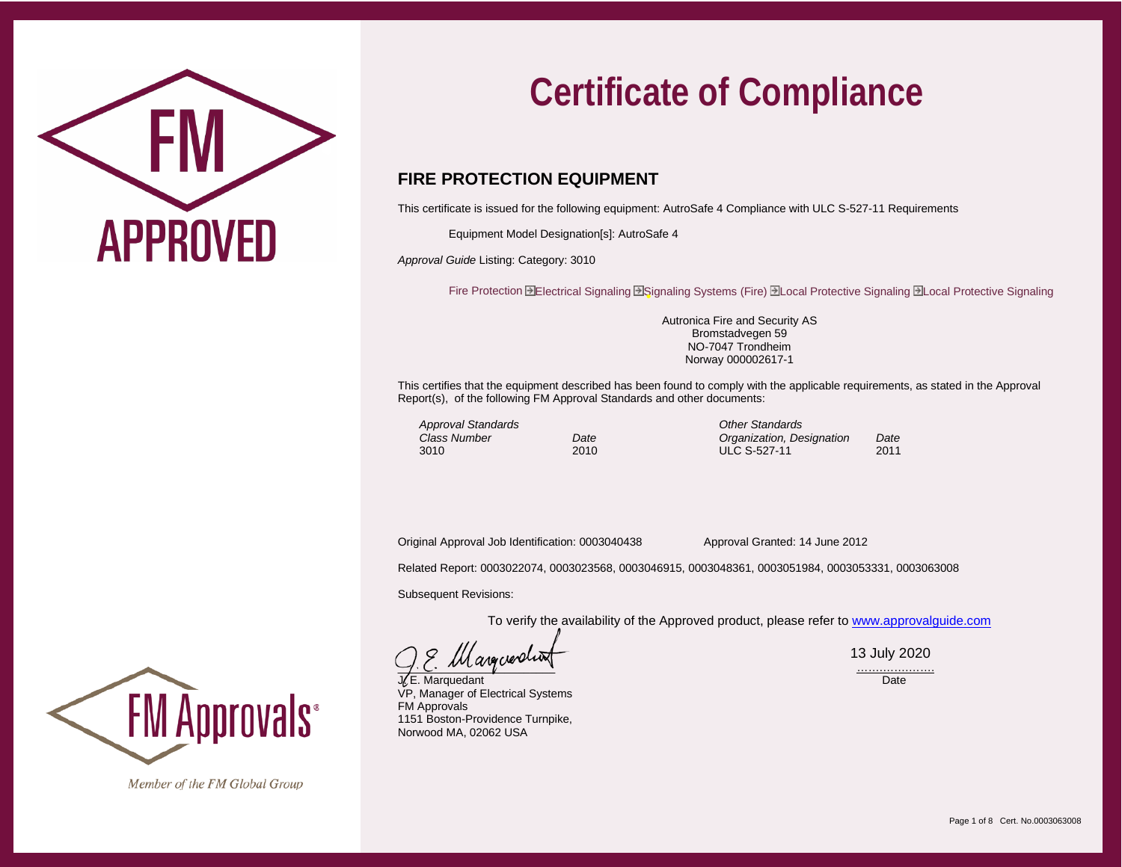

## **FIRE PROTECTION EQUIPMENT**

This certificate is issued for the following equipment: AutroSafe 4 Compliance with ULC S-527-11 Requirements

Equipment Model Designation[s]: AutroSafe 4

*Approval Guide* Listing: Category: 3010

Fire Protection HElectrical Signaling HSignaling Systems (Fire) HLocal Protective Signaling HLocal Protective Signaling

Autronica Fire and Security AS Bromstadvegen 59 NO-7047 Trondheim Norway 000002617-1

This certifies that the equipment described has been found to comply with the applicable requirements, as stated in the Approval Report(s), of the following FM Approval Standards and other documents:

*Approval Standards Other Standards*

*Class Number Date Organization, Designation Date* ULC S-527-11

Original Approval Job Identification: 0003040438 Approval Granted: 14 June 2012

Related Report: 0003022074, 0003023568, 0003046915, 0003048361, 0003051984, 0003053331, 0003063008

Subsequent Revisions:

To verify the availability of the Approved product, please refer t[o www.approvalguide.com](http://www.approvalguide.com/)

 $\Box$ .  $\Box$  .  $\Box$ 

**J. E. Marquedant** Date **Date Communist Communist Communist Communist Communist Communist Communist Communist Communist Communist Communist Communist Communist Communist Communist Communist Communist Communist Communist Co** VP, Manager of Electrical Systems FM Approvals 1151 Boston-Providence Turnpike, Norwood MA, 02062 USA

13 July 2020

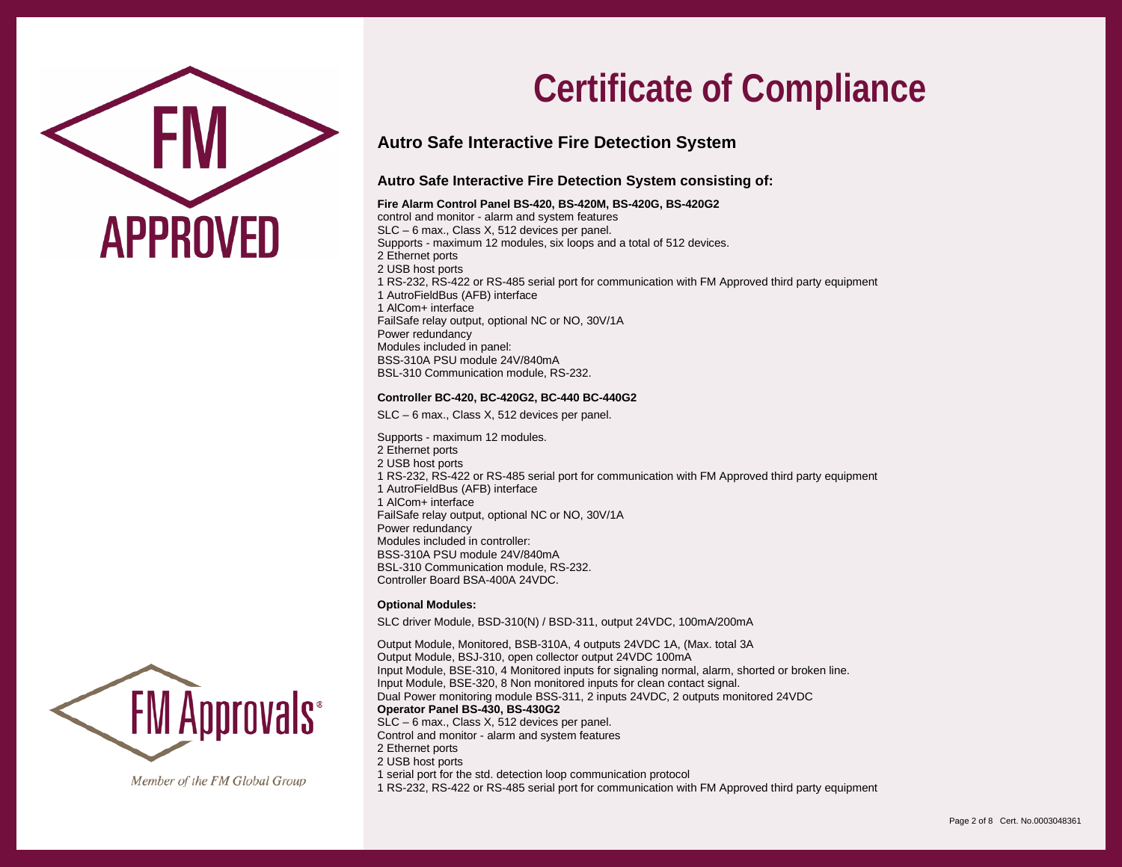

## **Autro Safe Interactive Fire Detection System**

## **Autro Safe Interactive Fire Detection System consisting of:**

#### **Fire Alarm Control Panel BS-420, BS-420M, BS-420G, BS-420G2**

control and monitor - alarm and system features SLC – 6 max., Class X, 512 devices per panel. Supports - maximum 12 modules, six loops and a total of 512 devices. 2 Ethernet ports 2 USB host ports 1 RS-232, RS-422 or RS-485 serial port for communication with FM Approved third party equipment 1 AutroFieldBus (AFB) interface 1 AlCom+ interface FailSafe relay output, optional NC or NO, 30V/1A Power redundancy Modules included in panel: BSS-310A PSU module 24V/840mA BSL-310 Communication module, RS-232.

#### **Controller BC-420, BC-420G2, BC-440 BC-440G2**

SLC – 6 max., Class X, 512 devices per panel.

Supports - maximum 12 modules. 2 Ethernet ports 2 USB host ports 1 RS-232, RS-422 or RS-485 serial port for communication with FM Approved third party equipment 1 AutroFieldBus (AFB) interface 1 AlCom+ interface FailSafe relay output, optional NC or NO, 30V/1A Power redundancy Modules included in controller: BSS-310A PSU module 24V/840mA BSL-310 Communication module, RS-232. Controller Board BSA-400A 24VDC.

#### **Optional Modules:**

SLC driver Module, BSD-310(N) / BSD-311, output 24VDC, 100mA/200mA

Output Module, Monitored, BSB-310A, 4 outputs 24VDC 1A, (Max. total 3A Output Module, BSJ-310, open collector output 24VDC 100mA Input Module, BSE-310, 4 Monitored inputs for signaling normal, alarm, shorted or broken line. Input Module, BSE-320, 8 Non monitored inputs for clean contact signal. Dual Power monitoring module BSS-311, 2 inputs 24VDC, 2 outputs monitored 24VDC **Operator Panel BS-430, BS-430G2** SLC – 6 max., Class X, 512 devices per panel. Control and monitor - alarm and system features 2 Ethernet ports 2 USB host ports 1 serial port for the std. detection loop communication protocol 1 RS-232, RS-422 or RS-485 serial port for communication with FM Approved third party equipment

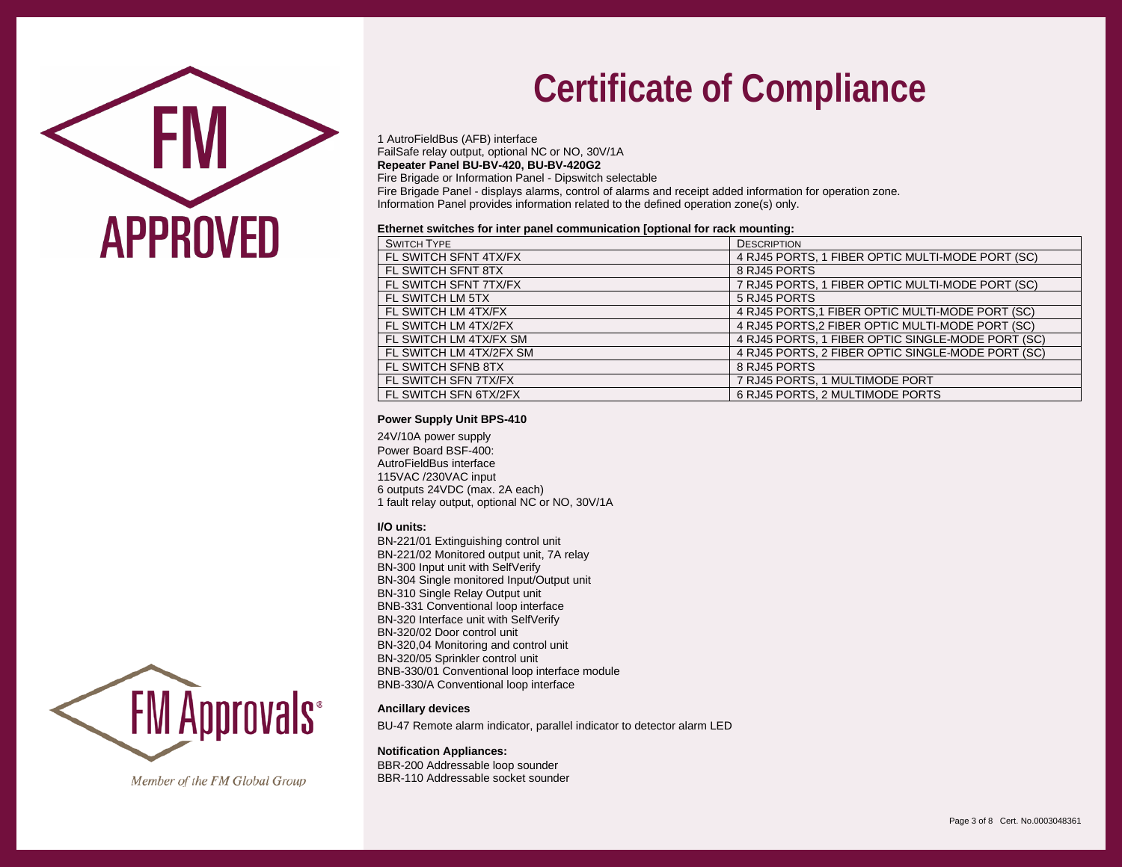

1 AutroFieldBus (AFB) interface FailSafe relay output, optional NC or NO, 30V/1A **Repeater Panel BU-BV-420, BU-BV-420G2**

Fire Brigade or Information Panel - Dipswitch selectable

Fire Brigade Panel - displays alarms, control of alarms and receipt added information for operation zone. Information Panel provides information related to the defined operation zone(s) only.

#### **Ethernet switches for inter panel communication [optional for rack mounting:**

| <b>SWITCH TYPE</b>      | <b>DESCRIPTION</b>                                |
|-------------------------|---------------------------------------------------|
| FL SWITCH SFNT 4TX/FX   | 4 RJ45 PORTS, 1 FIBER OPTIC MULTI-MODE PORT (SC)  |
| FL SWITCH SFNT 8TX      | 8 RJ45 PORTS                                      |
| FL SWITCH SFNT 7TX/FX   | 7 RJ45 PORTS, 1 FIBER OPTIC MULTI-MODE PORT (SC)  |
| FL SWITCH LM 5TX        | 5 RJ45 PORTS                                      |
| FL SWITCH LM 4TX/FX     | 4 RJ45 PORTS, 1 FIBER OPTIC MULTI-MODE PORT (SC)  |
| FL SWITCH LM 4TX/2FX    | 4 RJ45 PORTS, 2 FIBER OPTIC MULTI-MODE PORT (SC)  |
| FL SWITCH LM 4TX/FX SM  | 4 RJ45 PORTS, 1 FIBER OPTIC SINGLE-MODE PORT (SC) |
| FL SWITCH LM 4TX/2FX SM | 4 RJ45 PORTS, 2 FIBER OPTIC SINGLE-MODE PORT (SC) |
| FL SWITCH SFNB 8TX      | 8 RJ45 PORTS                                      |
| FL SWITCH SFN 7TX/FX    | 7 RJ45 PORTS, 1 MULTIMODE PORT                    |
| FL SWITCH SFN 6TX/2FX   | 6 RJ45 PORTS, 2 MULTIMODE PORTS                   |

#### **Power Supply Unit BPS-410**

24V/10A power supply Power Board BSF-400: AutroFieldBus interface 115VAC /230VAC input 6 outputs 24VDC (max. 2A each) 1 fault relay output, optional NC or NO, 30V/1A

#### **I/O units:**

BN-221/01 Extinguishing control unit BN-221/02 Monitored output unit, 7A relay BN-300 Input unit with SelfVerify BN-304 Single monitored Input/Output unit BN-310 Single Relay Output unit BNB-331 Conventional loop interface BN-320 Interface unit with SelfVerify BN-320/02 Door control unit BN-320,04 Monitoring and control unit BN-320/05 Sprinkler control unit BNB-330/01 Conventional loop interface module BNB-330/A Conventional loop interface

#### **Ancillary devices**

BU-47 Remote alarm indicator, parallel indicator to detector alarm LED

#### **Notification Appliances:**

BBR-200 Addressable loop sounder BBR-110 Addressable socket sounder

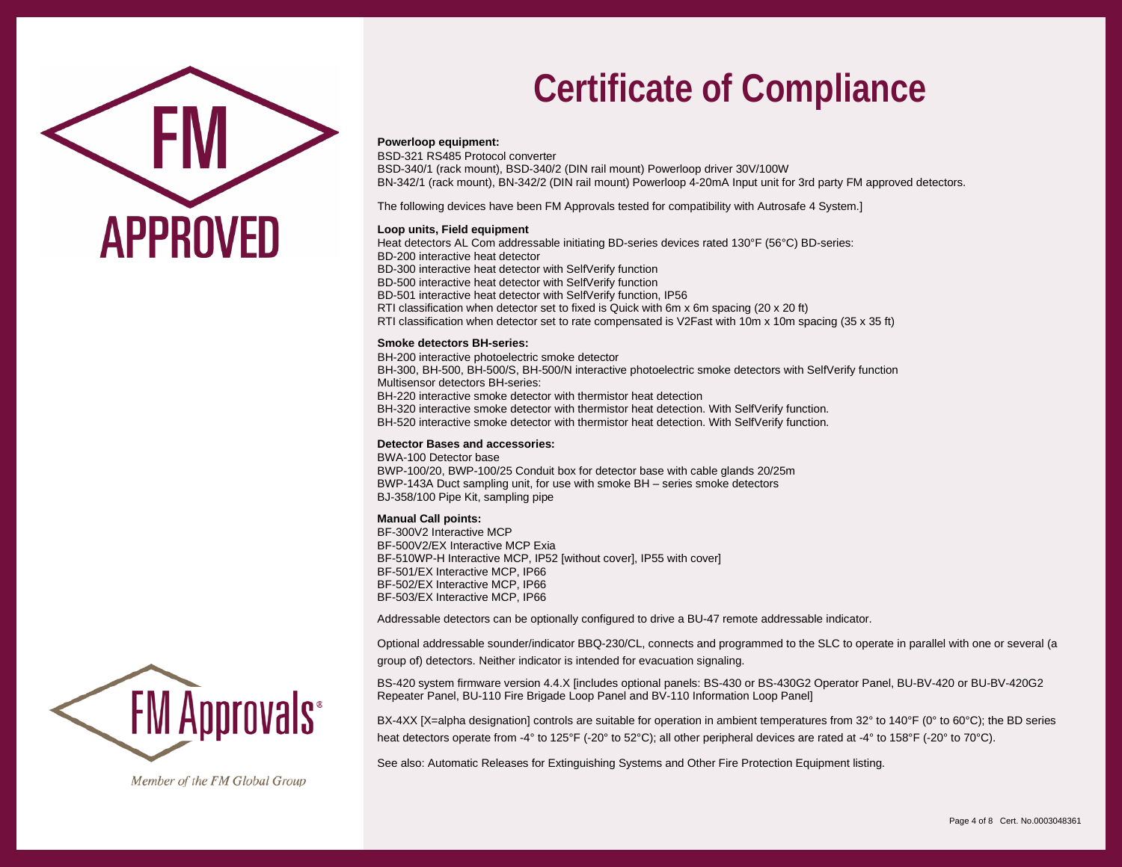

#### **Powerloop equipment:**

BSD-321 RS485 Protocol converter BSD-340/1 (rack mount), BSD-340/2 (DIN rail mount) Powerloop driver 30V/100W BN-342/1 (rack mount), BN-342/2 (DIN rail mount) Powerloop 4-20mA Input unit for 3rd party FM approved detectors.

The following devices have been FM Approvals tested for compatibility with Autrosafe 4 System.]

#### **Loop units, Field equipment**

Heat detectors AL Com addressable initiating BD-series devices rated 130°F (56°C) BD-series: BD-200 interactive heat detector BD-300 interactive heat detector with SelfVerify function BD-500 interactive heat detector with SelfVerify function BD-501 interactive heat detector with SelfVerify function, IP56 RTI classification when detector set to fixed is Quick with 6m x 6m spacing (20 x 20 ft) RTI classification when detector set to rate compensated is V2Fast with 10m x 10m spacing (35 x 35 ft)

#### **Smoke detectors BH-series:**

BH-200 interactive photoelectric smoke detector BH-300, BH-500, BH-500/S, BH-500/N interactive photoelectric smoke detectors with SelfVerify function Multisensor detectors BH-series: BH-220 interactive smoke detector with thermistor heat detection BH-320 interactive smoke detector with thermistor heat detection. With SelfVerify function. BH-520 interactive smoke detector with thermistor heat detection. With SelfVerify function.

#### **Detector Bases and accessories:**

BWA-100 Detector base BWP-100/20, BWP-100/25 Conduit box for detector base with cable glands 20/25m BWP-143A Duct sampling unit, for use with smoke BH – series smoke detectors BJ-358/100 Pipe Kit, sampling pipe

#### **Manual Call points:**

BF-300V2 Interactive MCP BF-500V2/EX Interactive MCP Exia BF-510WP-H Interactive MCP, IP52 [without cover], IP55 with cover] BF-501/EX Interactive MCP, IP66 BF-502/EX Interactive MCP, IP66 BF-503/EX Interactive MCP, IP66

Addressable detectors can be optionally configured to drive a BU-47 remote addressable indicator.

Optional addressable sounder/indicator BBQ-230/CL, connects and programmed to the SLC to operate in parallel with one or several (a group of) detectors. Neither indicator is intended for evacuation signaling.

BS-420 system firmware version 4.4.X [includes optional panels: BS-430 or BS-430G2 Operator Panel, BU-BV-420 or BU-BV-420G2 Repeater Panel, BU-110 Fire Brigade Loop Panel and BV-110 Information Loop Panel]

BX-4XX [X=alpha designation] controls are suitable for operation in ambient temperatures from 32° to 140°F (0° to 60°C); the BD series heat detectors operate from -4° to 125°F (-20° to 52°C); all other peripheral devices are rated at -4° to 158°F (-20° to 70°C).

See also: Automatic Releases for Extinguishing Systems and Other Fire Protection Equipment listing.

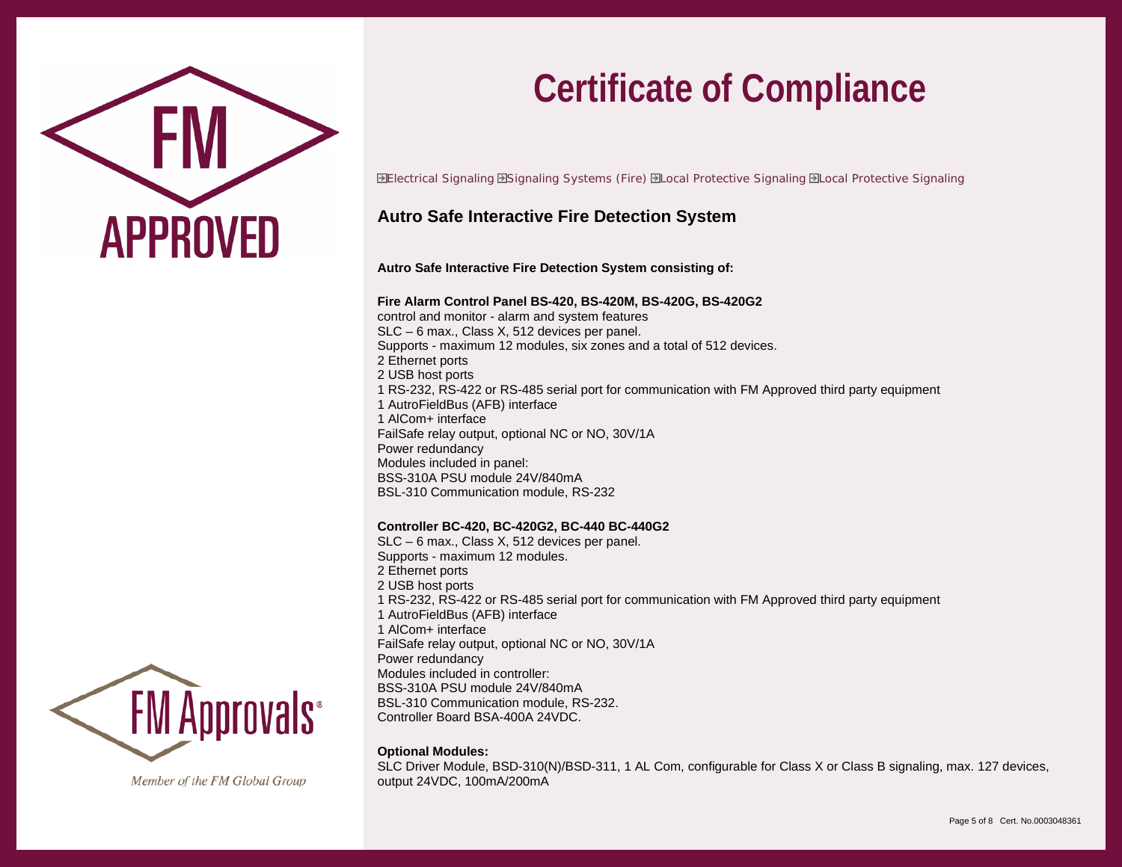

Electrical Signaling Signaling Systems (Fire) Local Protective Signaling Local Protective Signaling

## **Autro Safe Interactive Fire Detection System**

**Autro Safe Interactive Fire Detection System consisting of:**

#### **Fire Alarm Control Panel BS-420, BS-420M, BS-420G, BS-420G2**

control and monitor - alarm and system features SLC – 6 max., Class X, 512 devices per panel. Supports - maximum 12 modules, six zones and a total of 512 devices. 2 Ethernet ports 2 USB host ports 1 RS-232, RS-422 or RS-485 serial port for communication with FM Approved third party equipment 1 AutroFieldBus (AFB) interface 1 AlCom+ interface FailSafe relay output, optional NC or NO, 30V/1A Power redundancy Modules included in panel: BSS-310A PSU module 24V/840mA BSL-310 Communication module, RS-232

### **Controller BC-420, BC-420G2, BC-440 BC-440G2**

SLC – 6 max., Class X, 512 devices per panel. Supports - maximum 12 modules. 2 Ethernet ports 2 USB host ports 1 RS-232, RS-422 or RS-485 serial port for communication with FM Approved third party equipment 1 AutroFieldBus (AFB) interface 1 AlCom+ interface FailSafe relay output, optional NC or NO, 30V/1A Power redundancy Modules included in controller: BSS-310A PSU module 24V/840mA BSL-310 Communication module, RS-232. Controller Board BSA-400A 24VDC.

### **Optional Modules:**

SLC Driver Module, BSD-310(N)/BSD-311, 1 AL Com, configurable for Class X or Class B signaling, max. 127 devices, output 24VDC, 100mA/200mA

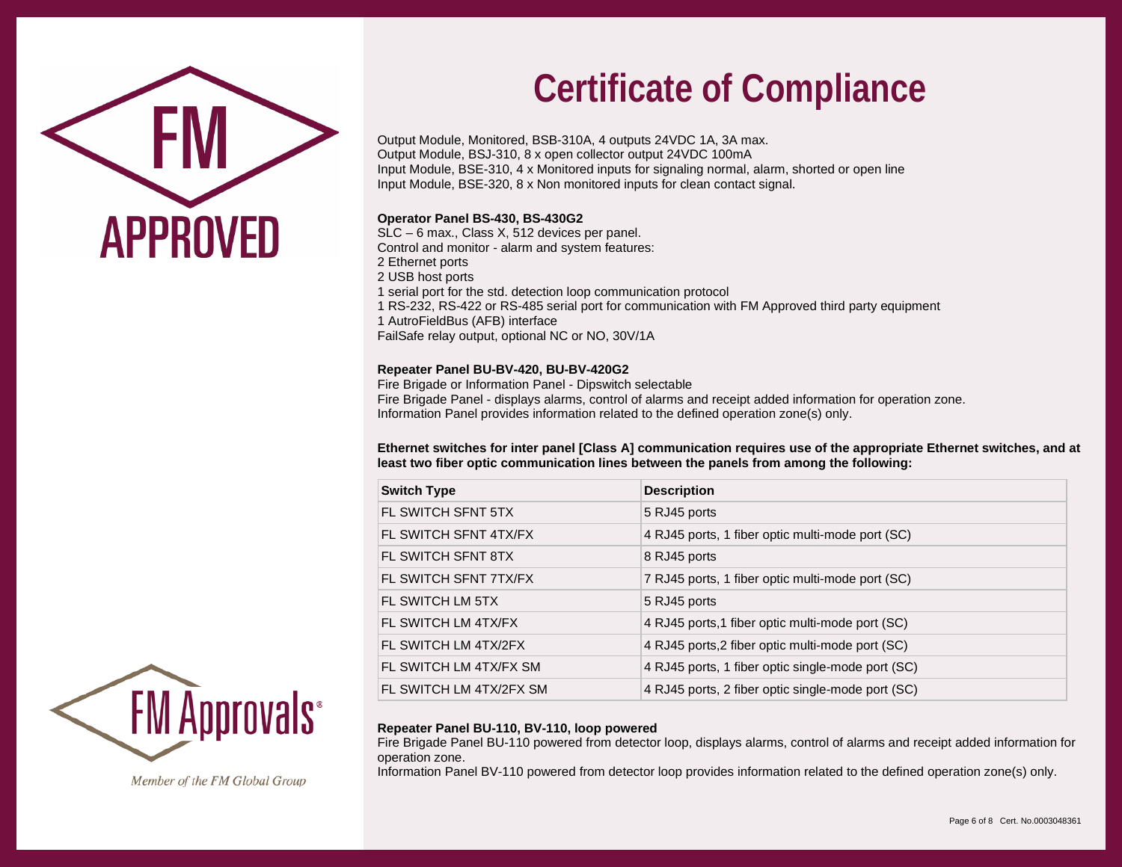

Output Module, Monitored, BSB-310A, 4 outputs 24VDC 1A, 3A max. Output Module, BSJ-310, 8 x open collector output 24VDC 100mA Input Module, BSE-310, 4 x Monitored inputs for signaling normal, alarm, shorted or open line Input Module, BSE-320, 8 x Non monitored inputs for clean contact signal.

### **Operator Panel BS-430, BS-430G2**

SLC – 6 max., Class X, 512 devices per panel.

Control and monitor - alarm and system features:

- 2 Ethernet ports
- 2 USB host ports
- 1 serial port for the std. detection loop communication protocol
- 1 RS-232, RS-422 or RS-485 serial port for communication with FM Approved third party equipment
- 1 AutroFieldBus (AFB) interface

FailSafe relay output, optional NC or NO, 30V/1A

## **Repeater Panel BU-BV-420, BU-BV-420G2**

Fire Brigade or Information Panel - Dipswitch selectable Fire Brigade Panel - displays alarms, control of alarms and receipt added information for operation zone. Information Panel provides information related to the defined operation zone(s) only.

**Ethernet switches for inter panel [Class A] communication requires use of the appropriate Ethernet switches, and at least two fiber optic communication lines between the panels from among the following:**

| <b>Switch Type</b>      | <b>Description</b>                                |
|-------------------------|---------------------------------------------------|
| FL SWITCH SFNT 5TX      | 5 RJ45 ports                                      |
| FL SWITCH SFNT 4TX/FX   | 4 RJ45 ports, 1 fiber optic multi-mode port (SC)  |
| FL SWITCH SFNT 8TX      | 8 RJ45 ports                                      |
| FL SWITCH SFNT 7TX/FX   | 7 RJ45 ports, 1 fiber optic multi-mode port (SC)  |
| FL SWITCH LM 5TX        | 5 RJ45 ports                                      |
| FL SWITCH LM 4TX/FX     | 4 RJ45 ports, 1 fiber optic multi-mode port (SC)  |
| FL SWITCH LM 4TX/2FX    | 4 RJ45 ports, 2 fiber optic multi-mode port (SC)  |
| FL SWITCH LM 4TX/FX SM  | 4 RJ45 ports, 1 fiber optic single-mode port (SC) |
| FL SWITCH LM 4TX/2FX SM | 4 RJ45 ports, 2 fiber optic single-mode port (SC) |

## **Repeater Panel BU-110, BV-110, loop powered**

Fire Brigade Panel BU-110 powered from detector loop, displays alarms, control of alarms and receipt added information for operation zone.

Information Panel BV-110 powered from detector loop provides information related to the defined operation zone(s) only.

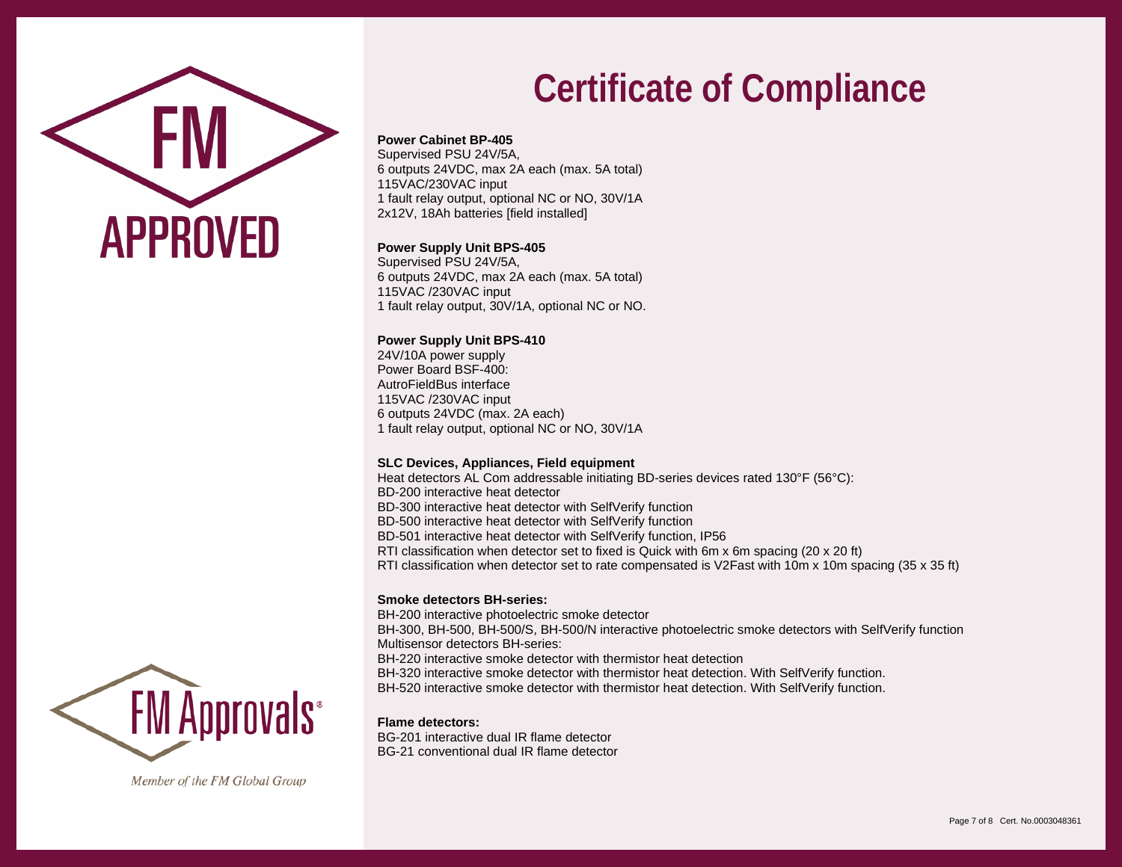

## **Power Cabinet BP-405**

Supervised PSU 24V/5A, 6 outputs 24VDC, max 2A each (max. 5A total) 115VAC/230VAC input 1 fault relay output, optional NC or NO, 30V/1A 2x12V, 18Ah batteries [field installed]

### **Power Supply Unit BPS-405**

Supervised PSU 24V/5A, 6 outputs 24VDC, max 2A each (max. 5A total) 115VAC /230VAC input 1 fault relay output, 30V/1A, optional NC or NO.

### **Power Supply Unit BPS-410**

24V/10A power supply Power Board BSF-400: AutroFieldBus interface 115VAC /230VAC input 6 outputs 24VDC (max. 2A each) 1 fault relay output, optional NC or NO, 30V/1A

### **SLC Devices, Appliances, Field equipment**

Heat detectors AL Com addressable initiating BD-series devices rated 130°F (56°C): BD-200 interactive heat detector BD-300 interactive heat detector with SelfVerify function BD-500 interactive heat detector with SelfVerify function BD-501 interactive heat detector with SelfVerify function, IP56 RTI classification when detector set to fixed is Quick with 6m x 6m spacing (20 x 20 ft) RTI classification when detector set to rate compensated is V2Fast with 10m x 10m spacing (35 x 35 ft)

### **Smoke detectors BH-series:**

BH-200 interactive photoelectric smoke detector BH-300, BH-500, BH-500/S, BH-500/N interactive photoelectric smoke detectors with SelfVerify function Multisensor detectors BH-series: BH-220 interactive smoke detector with thermistor heat detection BH-320 interactive smoke detector with thermistor heat detection. With SelfVerify function. BH-520 interactive smoke detector with thermistor heat detection. With SelfVerify function.

#### **Flame detectors:**

BG-201 interactive dual IR flame detector BG-21 conventional dual IR flame detector